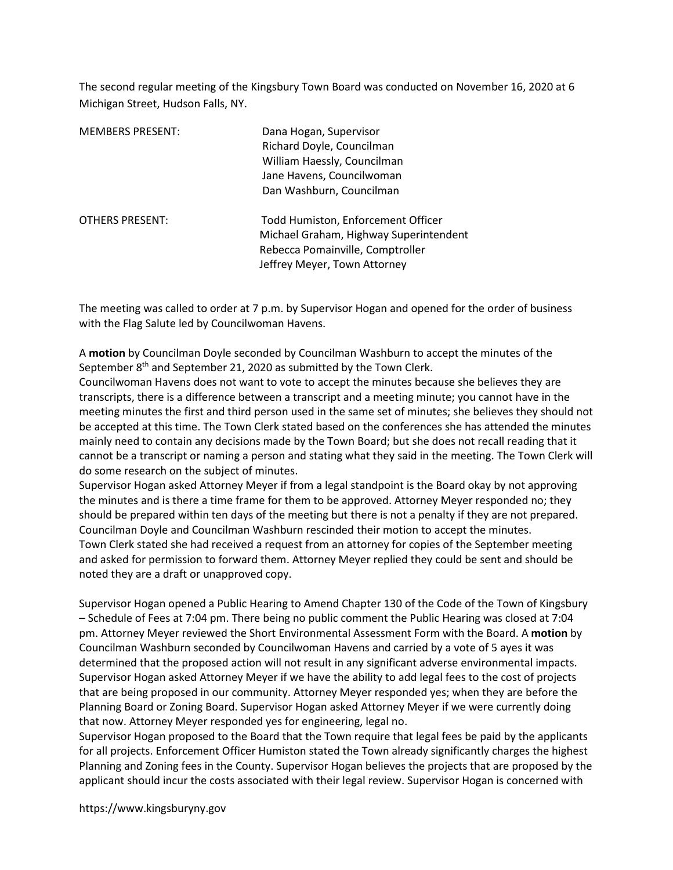The second regular meeting of the Kingsbury Town Board was conducted on November 16, 2020 at 6 Michigan Street, Hudson Falls, NY.

| <b>MEMBERS PRESENT:</b> | Dana Hogan, Supervisor<br>Richard Doyle, Councilman<br>William Haessly, Councilman<br>Jane Havens, Councilwoman<br>Dan Washburn, Councilman      |
|-------------------------|--------------------------------------------------------------------------------------------------------------------------------------------------|
| <b>OTHERS PRESENT:</b>  | Todd Humiston, Enforcement Officer<br>Michael Graham, Highway Superintendent<br>Rebecca Pomainville, Comptroller<br>Jeffrey Meyer, Town Attorney |

The meeting was called to order at 7 p.m. by Supervisor Hogan and opened for the order of business with the Flag Salute led by Councilwoman Havens.

A motion by Councilman Doyle seconded by Councilman Washburn to accept the minutes of the September 8<sup>th</sup> and September 21, 2020 as submitted by the Town Clerk.

Councilwoman Havens does not want to vote to accept the minutes because she believes they are transcripts, there is a difference between a transcript and a meeting minute; you cannot have in the meeting minutes the first and third person used in the same set of minutes; she believes they should not be accepted at this time. The Town Clerk stated based on the conferences she has attended the minutes mainly need to contain any decisions made by the Town Board; but she does not recall reading that it cannot be a transcript or naming a person and stating what they said in the meeting. The Town Clerk will do some research on the subject of minutes.

Supervisor Hogan asked Attorney Meyer if from a legal standpoint is the Board okay by not approving the minutes and is there a time frame for them to be approved. Attorney Meyer responded no; they should be prepared within ten days of the meeting but there is not a penalty if they are not prepared. Councilman Doyle and Councilman Washburn rescinded their motion to accept the minutes. Town Clerk stated she had received a request from an attorney for copies of the September meeting and asked for permission to forward them. Attorney Meyer replied they could be sent and should be noted they are a draft or unapproved copy.

Supervisor Hogan opened a Public Hearing to Amend Chapter 130 of the Code of the Town of Kingsbury – Schedule of Fees at 7:04 pm. There being no public comment the Public Hearing was closed at 7:04 pm. Attorney Meyer reviewed the Short Environmental Assessment Form with the Board. A motion by Councilman Washburn seconded by Councilwoman Havens and carried by a vote of 5 ayes it was determined that the proposed action will not result in any significant adverse environmental impacts. Supervisor Hogan asked Attorney Meyer if we have the ability to add legal fees to the cost of projects that are being proposed in our community. Attorney Meyer responded yes; when they are before the Planning Board or Zoning Board. Supervisor Hogan asked Attorney Meyer if we were currently doing that now. Attorney Meyer responded yes for engineering, legal no.

Supervisor Hogan proposed to the Board that the Town require that legal fees be paid by the applicants for all projects. Enforcement Officer Humiston stated the Town already significantly charges the highest Planning and Zoning fees in the County. Supervisor Hogan believes the projects that are proposed by the applicant should incur the costs associated with their legal review. Supervisor Hogan is concerned with

https://www.kingsburyny.gov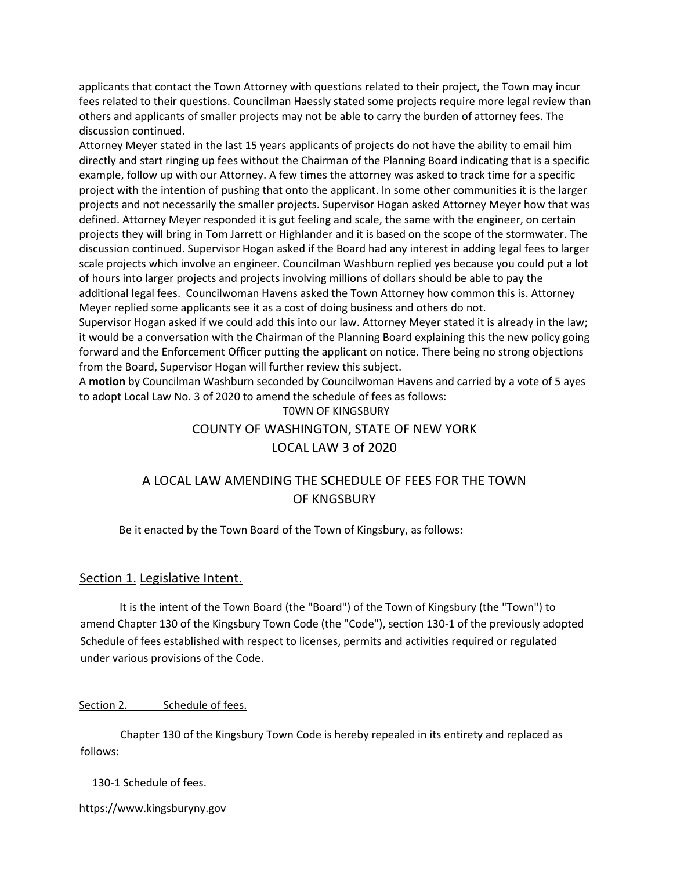applicants that contact the Town Attorney with questions related to their project, the Town may incur fees related to their questions. Councilman Haessly stated some projects require more legal review than others and applicants of smaller projects may not be able to carry the burden of attorney fees. The discussion continued.

Attorney Meyer stated in the last 15 years applicants of projects do not have the ability to email him directly and start ringing up fees without the Chairman of the Planning Board indicating that is a specific example, follow up with our Attorney. A few times the attorney was asked to track time for a specific project with the intention of pushing that onto the applicant. In some other communities it is the larger projects and not necessarily the smaller projects. Supervisor Hogan asked Attorney Meyer how that was defined. Attorney Meyer responded it is gut feeling and scale, the same with the engineer, on certain projects they will bring in Tom Jarrett or Highlander and it is based on the scope of the stormwater. The discussion continued. Supervisor Hogan asked if the Board had any interest in adding legal fees to larger scale projects which involve an engineer. Councilman Washburn replied yes because you could put a lot of hours into larger projects and projects involving millions of dollars should be able to pay the additional legal fees. Councilwoman Havens asked the Town Attorney how common this is. Attorney Meyer replied some applicants see it as a cost of doing business and others do not.

Supervisor Hogan asked if we could add this into our law. Attorney Meyer stated it is already in the law; it would be a conversation with the Chairman of the Planning Board explaining this the new policy going forward and the Enforcement Officer putting the applicant on notice. There being no strong objections from the Board, Supervisor Hogan will further review this subject.

A motion by Councilman Washburn seconded by Councilwoman Havens and carried by a vote of 5 ayes to adopt Local Law No. 3 of 2020 to amend the schedule of fees as follows:

T0WN OF KINGSBURY COUNTY OF WASHINGTON, STATE OF NEW YORK LOCAL LAW 3 of 2020

# A LOCAL LAW AMENDING THE SCHEDULE OF FEES FOR THE TOWN OF KNGSBURY

Be it enacted by the Town Board of the Town of Kingsbury, as follows:

### Section 1. Legislative Intent.

It is the intent of the Town Board (the "Board") of the Town of Kingsbury (the "Town") to amend Chapter 130 of the Kingsbury Town Code (the "Code"), section 130-1 of the previously adopted Schedule of fees established with respect to licenses, permits and activities required or regulated under various provisions of the Code.

### Section 2. Schedule of fees.

Chapter 130 of the Kingsbury Town Code is hereby repealed in its entirety and replaced as follows:

130-1 Schedule of fees.

https://www.kingsburyny.gov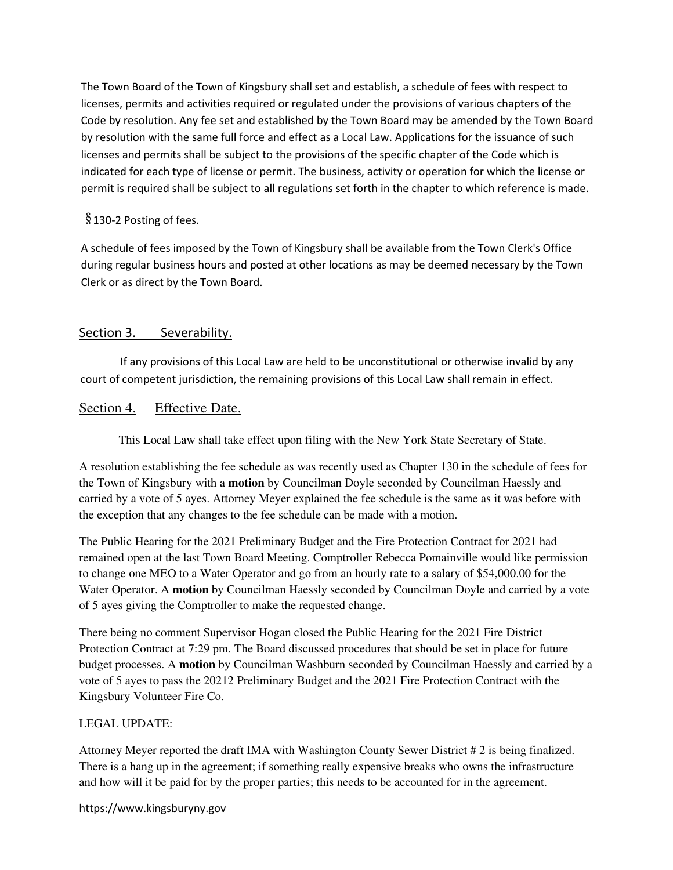The Town Board of the Town of Kingsbury shall set and establish, a schedule of fees with respect to licenses, permits and activities required or regulated under the provisions of various chapters of the Code by resolution. Any fee set and established by the Town Board may be amended by the Town Board by resolution with the same full force and effect as a Local Law. Applications for the issuance of such licenses and permits shall be subject to the provisions of the specific chapter of the Code which is indicated for each type of license or permit. The business, activity or operation for which the license or permit is required shall be subject to all regulations set forth in the chapter to which reference is made.

# $§$  130-2 Posting of fees.

A schedule of fees imposed by the Town of Kingsbury shall be available from the Town Clerk's Office during regular business hours and posted at other locations as may be deemed necessary by the Town Clerk or as direct by the Town Board.

# Section 3. Severability.

If any provisions of this Local Law are held to be unconstitutional or otherwise invalid by any court of competent jurisdiction, the remaining provisions of this Local Law shall remain in effect.

# Section 4. Effective Date.

This Local Law shall take effect upon filing with the New York State Secretary of State.

A resolution establishing the fee schedule as was recently used as Chapter 130 in the schedule of fees for the Town of Kingsbury with a **motion** by Councilman Doyle seconded by Councilman Haessly and carried by a vote of 5 ayes. Attorney Meyer explained the fee schedule is the same as it was before with the exception that any changes to the fee schedule can be made with a motion.

The Public Hearing for the 2021 Preliminary Budget and the Fire Protection Contract for 2021 had remained open at the last Town Board Meeting. Comptroller Rebecca Pomainville would like permission to change one MEO to a Water Operator and go from an hourly rate to a salary of \$54,000.00 for the Water Operator. A **motion** by Councilman Haessly seconded by Councilman Doyle and carried by a vote of 5 ayes giving the Comptroller to make the requested change.

There being no comment Supervisor Hogan closed the Public Hearing for the 2021 Fire District Protection Contract at 7:29 pm. The Board discussed procedures that should be set in place for future budget processes. A **motion** by Councilman Washburn seconded by Councilman Haessly and carried by a vote of 5 ayes to pass the 20212 Preliminary Budget and the 2021 Fire Protection Contract with the Kingsbury Volunteer Fire Co.

### LEGAL UPDATE:

Attorney Meyer reported the draft IMA with Washington County Sewer District # 2 is being finalized. There is a hang up in the agreement; if something really expensive breaks who owns the infrastructure and how will it be paid for by the proper parties; this needs to be accounted for in the agreement.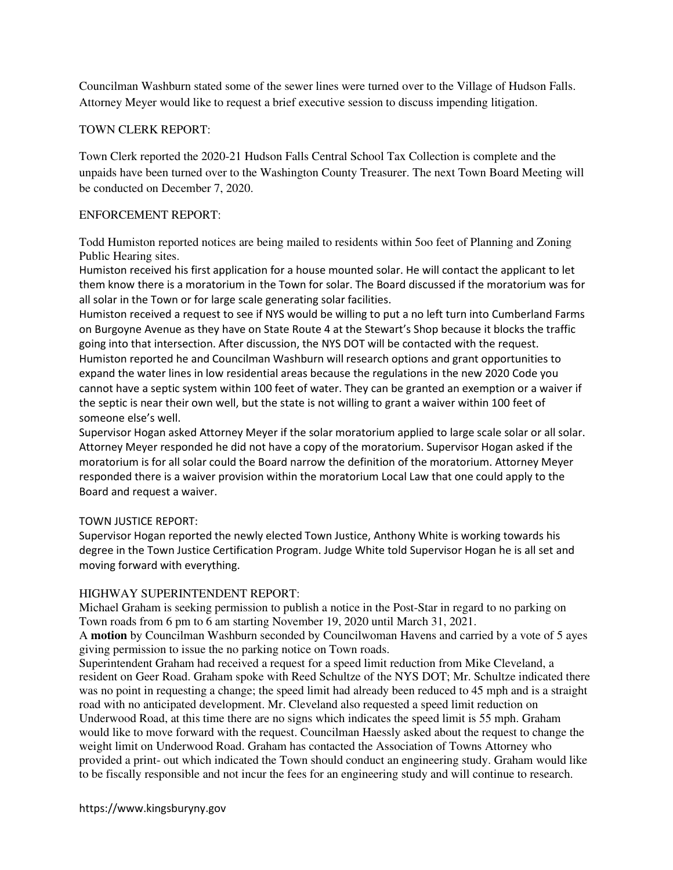Councilman Washburn stated some of the sewer lines were turned over to the Village of Hudson Falls. Attorney Meyer would like to request a brief executive session to discuss impending litigation.

### TOWN CLERK REPORT:

Town Clerk reported the 2020-21 Hudson Falls Central School Tax Collection is complete and the unpaids have been turned over to the Washington County Treasurer. The next Town Board Meeting will be conducted on December 7, 2020.

### ENFORCEMENT REPORT:

Todd Humiston reported notices are being mailed to residents within 5oo feet of Planning and Zoning Public Hearing sites.

Humiston received his first application for a house mounted solar. He will contact the applicant to let them know there is a moratorium in the Town for solar. The Board discussed if the moratorium was for all solar in the Town or for large scale generating solar facilities.

Humiston received a request to see if NYS would be willing to put a no left turn into Cumberland Farms on Burgoyne Avenue as they have on State Route 4 at the Stewart's Shop because it blocks the traffic going into that intersection. After discussion, the NYS DOT will be contacted with the request. Humiston reported he and Councilman Washburn will research options and grant opportunities to expand the water lines in low residential areas because the regulations in the new 2020 Code you cannot have a septic system within 100 feet of water. They can be granted an exemption or a waiver if the septic is near their own well, but the state is not willing to grant a waiver within 100 feet of someone else's well.

Supervisor Hogan asked Attorney Meyer if the solar moratorium applied to large scale solar or all solar. Attorney Meyer responded he did not have a copy of the moratorium. Supervisor Hogan asked if the moratorium is for all solar could the Board narrow the definition of the moratorium. Attorney Meyer responded there is a waiver provision within the moratorium Local Law that one could apply to the Board and request a waiver.

### TOWN JUSTICE REPORT:

Supervisor Hogan reported the newly elected Town Justice, Anthony White is working towards his degree in the Town Justice Certification Program. Judge White told Supervisor Hogan he is all set and moving forward with everything.

### HIGHWAY SUPERINTENDENT REPORT:

Michael Graham is seeking permission to publish a notice in the Post-Star in regard to no parking on Town roads from 6 pm to 6 am starting November 19, 2020 until March 31, 2021.

A **motion** by Councilman Washburn seconded by Councilwoman Havens and carried by a vote of 5 ayes giving permission to issue the no parking notice on Town roads.

Superintendent Graham had received a request for a speed limit reduction from Mike Cleveland, a resident on Geer Road. Graham spoke with Reed Schultze of the NYS DOT; Mr. Schultze indicated there was no point in requesting a change; the speed limit had already been reduced to 45 mph and is a straight road with no anticipated development. Mr. Cleveland also requested a speed limit reduction on Underwood Road, at this time there are no signs which indicates the speed limit is 55 mph. Graham would like to move forward with the request. Councilman Haessly asked about the request to change the weight limit on Underwood Road. Graham has contacted the Association of Towns Attorney who provided a print- out which indicated the Town should conduct an engineering study. Graham would like to be fiscally responsible and not incur the fees for an engineering study and will continue to research.